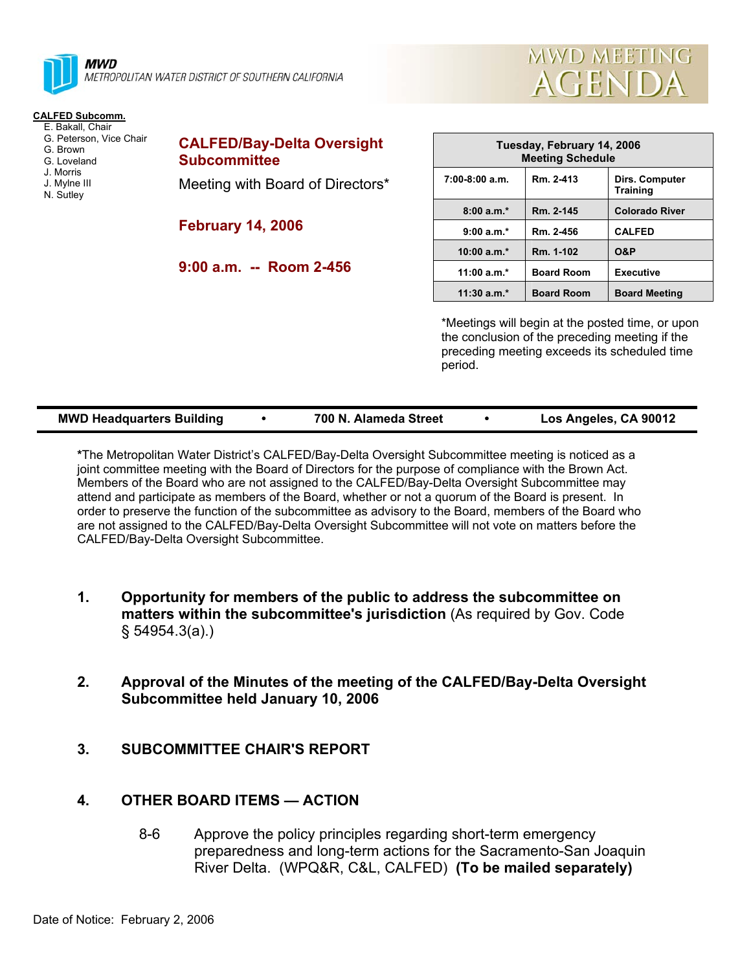

#### **CALFED Subcomm.**

- E. Bakall, Chair G. Peterson, Vice Chair
- G. Brown
- G. Loveland
- J. Morris
- J. Mylne III
- N. Sutley

**CALFED/Bay-Delta Oversight Subcommittee** 

Meeting with Board of Directors\*

**February 14, 2006** 

**9:00 a.m. -- Room 2-456** 

| Tuesday, February 14, 2006<br><b>Meeting Schedule</b> |                   |                                   |  |
|-------------------------------------------------------|-------------------|-----------------------------------|--|
| $7:00-8:00$ a.m.                                      | Rm. 2-413         | Dirs. Computer<br><b>Training</b> |  |
| $8:00a.m.*$                                           | Rm. 2-145         | <b>Colorado River</b>             |  |
| $9:00a.m.*$                                           | Rm. 2-456         | <b>CALFED</b>                     |  |
| $10:00 a.m.*$                                         | Rm. 1-102         | <b>O&amp;P</b>                    |  |
| $11:00 a.m.*$                                         | <b>Board Room</b> | <b>Executive</b>                  |  |
| $11:30$ a.m. <sup>*</sup>                             | <b>Board Room</b> | <b>Board Meeting</b>              |  |

**MWD MEETING** 

**AGENDA** 

\*Meetings will begin at the posted time, or upon the conclusion of the preceding meeting if the preceding meeting exceeds its scheduled time period.

| <b>MWD Headquarters Building</b><br>700 N. Alameda Street | Los Angeles, CA 90012 |
|-----------------------------------------------------------|-----------------------|
|-----------------------------------------------------------|-----------------------|

**\***The Metropolitan Water District's CALFED/Bay-Delta Oversight Subcommittee meeting is noticed as a joint committee meeting with the Board of Directors for the purpose of compliance with the Brown Act. Members of the Board who are not assigned to the CALFED/Bay-Delta Oversight Subcommittee may attend and participate as members of the Board, whether or not a quorum of the Board is present. In order to preserve the function of the subcommittee as advisory to the Board, members of the Board who are not assigned to the CALFED/Bay-Delta Oversight Subcommittee will not vote on matters before the CALFED/Bay-Delta Oversight Subcommittee.

- **1. Opportunity for members of the public to address the subcommittee on matters within the subcommittee's jurisdiction** (As required by Gov. Code § 54954.3(a).)
- **2. Approval of the Minutes of the meeting of the CALFED/Bay-Delta Oversight Subcommittee held January 10, 2006**
- **3. SUBCOMMITTEE CHAIR'S REPORT**

# **4. OTHER BOARD ITEMS — ACTION**

 8-6 Approve the policy principles regarding short-term emergency preparedness and long-term actions for the Sacramento-San Joaquin River Delta. (WPQ&R, C&L, CALFED) **(To be mailed separately)**